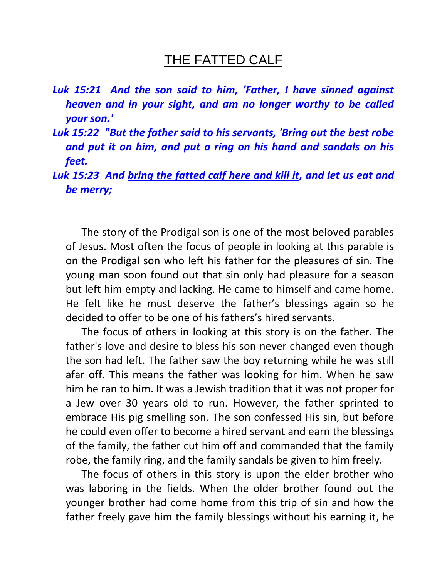## THE FATTED CALF

- *Luk 15:21 And the son said to him, 'Father, I have sinned against heaven and in your sight, and am no longer worthy to be called your son.'*
- *Luk 15:22 "But the father said to his servants, 'Bring out the best robe and put it on him, and put a ring on his hand and sandals on his feet.*
- Luk 15:23 And bring the fatted calf here and kill it, and let us eat and *be merry;*

 The story of the Prodigal son is one of the most beloved parables of Jesus. Most often the focus of people in looking at this parable is on the Prodigal son who left his father for the pleasures of sin. The young man soon found out that sin only had pleasure for a season but left him empty and lacking. He came to himself and came home. He felt like he must deserve the father's blessings again so he decided to offer to be one of his fathers's hired servants.

 The focus of others in looking at this story is on the father. The father's love and desire to bless his son never changed even though the son had left. The father saw the boy returning while he was still afar off. This means the father was looking for him. When he saw him he ran to him. It was a Jewish tradition that it was not proper for a Jew over 30 years old to run. However, the father sprinted to embrace His pig smelling son. The son confessed His sin, but before he could even offer to become a hired servant and earn the blessings of the family, the father cut him off and commanded that the family robe, the family ring, and the family sandals be given to him freely.

 The focus of others in this story is upon the elder brother who was laboring in the fields. When the older brother found out the younger brother had come home from this trip of sin and how the father freely gave him the family blessings without his earning it, he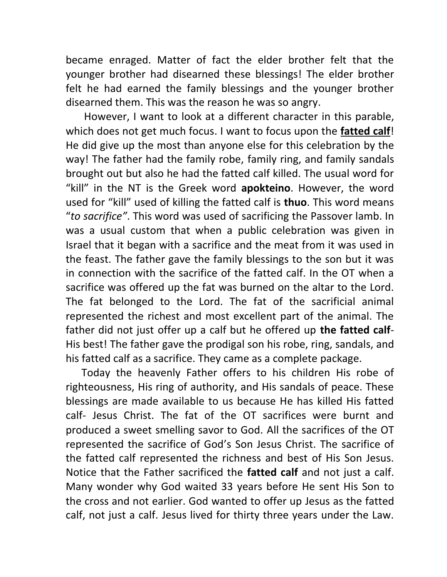became enraged. Matter of fact the elder brother felt that the younger brother had disearned these blessings! The elder brother felt he had earned the family blessings and the younger brother disearned them. This was the reason he was so angry.

 However, I want to look at a different character in this parable, which does not get much focus. I want to focus upon the **fatted calf**! He did give up the most than anyone else for this celebration by the way! The father had the family robe, family ring, and family sandals brought out but also he had the fatted calf killed. The usual word for "kill" in the NT is the Greek word **apokteino**. However, the word used for "kill" used of killing the fatted calf is **thuo**. This word means "*to sacrifice"*. This word was used of sacrificing the Passover lamb. In was a usual custom that when a public celebration was given in Israel that it began with a sacrifice and the meat from it was used in the feast. The father gave the family blessings to the son but it was in connection with the sacrifice of the fatted calf. In the OT when a sacrifice was offered up the fat was burned on the altar to the Lord. The fat belonged to the Lord. The fat of the sacrificial animal represented the richest and most excellent part of the animal. The father did not just offer up a calf but he offered up **the fatted calf**-His best! The father gave the prodigal son his robe, ring, sandals, and his fatted calf as a sacrifice. They came as a complete package.

 Today the heavenly Father offers to his children His robe of righteousness, His ring of authority, and His sandals of peace. These blessings are made available to us because He has killed His fatted calf- Jesus Christ. The fat of the OT sacrifices were burnt and produced a sweet smelling savor to God. All the sacrifices of the OT represented the sacrifice of God's Son Jesus Christ. The sacrifice of the fatted calf represented the richness and best of His Son Jesus. Notice that the Father sacrificed the **fatted calf** and not just a calf. Many wonder why God waited 33 years before He sent His Son to the cross and not earlier. God wanted to offer up Jesus as the fatted calf, not just a calf. Jesus lived for thirty three years under the Law.